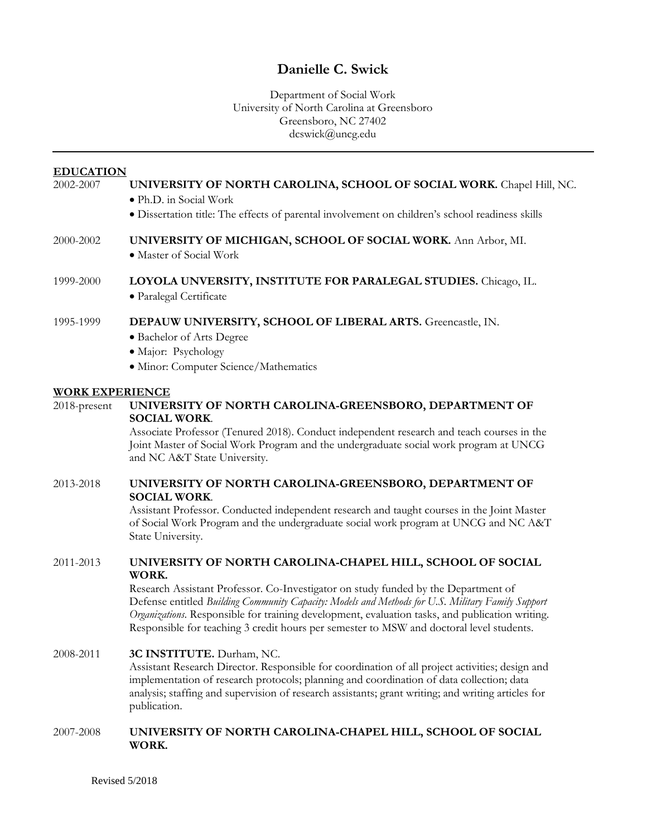## **Danielle C. Swick**

## Department of Social Work University of North Carolina at Greensboro Greensboro, NC 27402 dcswick@uncg.edu

### **EDUCATION** 2002-2007 **UNIVERSITY OF NORTH CAROLINA, SCHOOL OF SOCIAL WORK.** Chapel Hill, NC. • Ph.D. in Social Work

• Dissertation title: The effects of parental involvement on children's school readiness skills

# 2000-2002 **UNIVERSITY OF MICHIGAN, SCHOOL OF SOCIAL WORK.** Ann Arbor, MI.

• Master of Social Work

## 1999-2000 **LOYOLA UNVERSITY, INSTITUTE FOR PARALEGAL STUDIES.** Chicago, IL. • Paralegal Certificate

## 1995-1999 **DEPAUW UNIVERSITY, SCHOOL OF LIBERAL ARTS.** Greencastle, IN.

- Bachelor of Arts Degree
- Major: Psychology
- Minor: Computer Science/Mathematics

## **WORK EXPERIENCE**

## 2018-present **UNIVERSITY OF NORTH CAROLINA-GREENSBORO, DEPARTMENT OF SOCIAL WORK**.

Associate Professor (Tenured 2018). Conduct independent research and teach courses in the Joint Master of Social Work Program and the undergraduate social work program at UNCG and NC A&T State University.

## 2013-2018 **UNIVERSITY OF NORTH CAROLINA-GREENSBORO, DEPARTMENT OF SOCIAL WORK**.

Assistant Professor. Conducted independent research and taught courses in the Joint Master of Social Work Program and the undergraduate social work program at UNCG and NC A&T State University.

## 2011-2013 **UNIVERSITY OF NORTH CAROLINA-CHAPEL HILL, SCHOOL OF SOCIAL WORK.**

Research Assistant Professor. Co-Investigator on study funded by the Department of Defense entitled *Building Community Capacity: Models and Methods for U.S. Military Family Support Organizations*. Responsible for training development, evaluation tasks, and publication writing. Responsible for teaching 3 credit hours per semester to MSW and doctoral level students.

## 2008-2011 **3C INSTITUTE.** Durham, NC.

Assistant Research Director. Responsible for coordination of all project activities; design and implementation of research protocols; planning and coordination of data collection; data analysis; staffing and supervision of research assistants; grant writing; and writing articles for publication.

## 2007-2008 **UNIVERSITY OF NORTH CAROLINA-CHAPEL HILL, SCHOOL OF SOCIAL WORK.**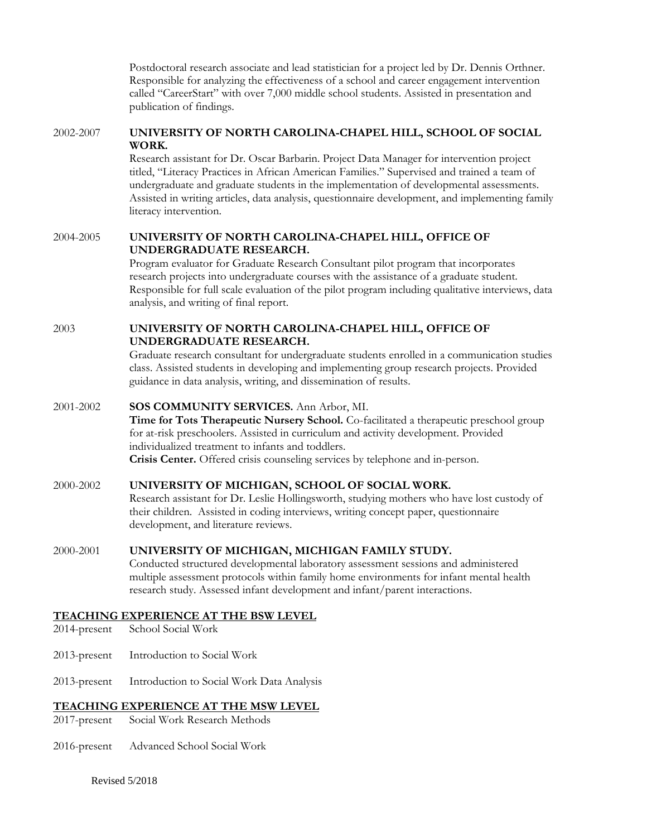Postdoctoral research associate and lead statistician for a project led by Dr. Dennis Orthner. Responsible for analyzing the effectiveness of a school and career engagement intervention called "CareerStart" with over 7,000 middle school students. Assisted in presentation and publication of findings.

#### 2002-2007 **UNIVERSITY OF NORTH CAROLINA-CHAPEL HILL, SCHOOL OF SOCIAL WORK.**

Research assistant for Dr. Oscar Barbarin. Project Data Manager for intervention project titled, "Literacy Practices in African American Families." Supervised and trained a team of undergraduate and graduate students in the implementation of developmental assessments. Assisted in writing articles, data analysis, questionnaire development, and implementing family literacy intervention.

#### 2004-2005 **UNIVERSITY OF NORTH CAROLINA-CHAPEL HILL, OFFICE OF UNDERGRADUATE RESEARCH.**

Program evaluator for Graduate Research Consultant pilot program that incorporates research projects into undergraduate courses with the assistance of a graduate student. Responsible for full scale evaluation of the pilot program including qualitative interviews, data analysis, and writing of final report.

## 2003 **UNIVERSITY OF NORTH CAROLINA-CHAPEL HILL, OFFICE OF UNDERGRADUATE RESEARCH.**

Graduate research consultant for undergraduate students enrolled in a communication studies class. Assisted students in developing and implementing group research projects. Provided guidance in data analysis, writing, and dissemination of results.

## 2001-2002 **SOS COMMUNITY SERVICES.** Ann Arbor, MI.

**Time for Tots Therapeutic Nursery School.** Co-facilitated a therapeutic preschool group for at-risk preschoolers. Assisted in curriculum and activity development. Provided individualized treatment to infants and toddlers. **Crisis Center.** Offered crisis counseling services by telephone and in-person.

## 2000-2002 **UNIVERSITY OF MICHIGAN, SCHOOL OF SOCIAL WORK.**

Research assistant for Dr. Leslie Hollingsworth, studying mothers who have lost custody of their children. Assisted in coding interviews, writing concept paper, questionnaire development, and literature reviews.

#### 2000-2001 **UNIVERSITY OF MICHIGAN, MICHIGAN FAMILY STUDY.**

Conducted structured developmental laboratory assessment sessions and administered multiple assessment protocols within family home environments for infant mental health research study. Assessed infant development and infant/parent interactions.

#### **TEACHING EXPERIENCE AT THE BSW LEVEL**

- 2014-present School Social Work
- 2013-present Introduction to Social Work
- 2013-present Introduction to Social Work Data Analysis

## **TEACHING EXPERIENCE AT THE MSW LEVEL**

- 2017-present Social Work Research Methods
- 2016-present Advanced School Social Work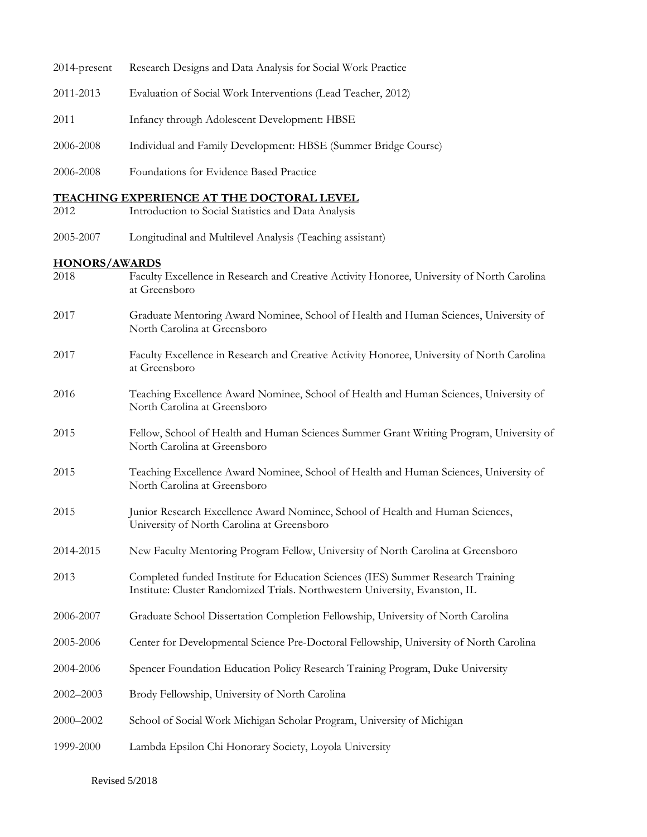| 2014-present         | Research Designs and Data Analysis for Social Work Practice                                                                                                     |
|----------------------|-----------------------------------------------------------------------------------------------------------------------------------------------------------------|
| 2011-2013            | Evaluation of Social Work Interventions (Lead Teacher, 2012)                                                                                                    |
| 2011                 | Infancy through Adolescent Development: HBSE                                                                                                                    |
| 2006-2008            | Individual and Family Development: HBSE (Summer Bridge Course)                                                                                                  |
| 2006-2008            | Foundations for Evidence Based Practice                                                                                                                         |
|                      | <b>TEACHING EXPERIENCE AT THE DOCTORAL LEVEL</b>                                                                                                                |
| 2012                 | Introduction to Social Statistics and Data Analysis                                                                                                             |
| 2005-2007            | Longitudinal and Multilevel Analysis (Teaching assistant)                                                                                                       |
| <b>HONORS/AWARDS</b> |                                                                                                                                                                 |
| 2018                 | Faculty Excellence in Research and Creative Activity Honoree, University of North Carolina<br>at Greensboro                                                     |
| 2017                 | Graduate Mentoring Award Nominee, School of Health and Human Sciences, University of<br>North Carolina at Greensboro                                            |
| 2017                 | Faculty Excellence in Research and Creative Activity Honoree, University of North Carolina<br>at Greensboro                                                     |
| 2016                 | Teaching Excellence Award Nominee, School of Health and Human Sciences, University of<br>North Carolina at Greensboro                                           |
| 2015                 | Fellow, School of Health and Human Sciences Summer Grant Writing Program, University of<br>North Carolina at Greensboro                                         |
| 2015                 | Teaching Excellence Award Nominee, School of Health and Human Sciences, University of<br>North Carolina at Greensboro                                           |
| 2015                 | Junior Research Excellence Award Nominee, School of Health and Human Sciences,<br>University of North Carolina at Greensboro                                    |
| 2014-2015            | New Faculty Mentoring Program Fellow, University of North Carolina at Greensboro                                                                                |
| 2013                 | Completed funded Institute for Education Sciences (IES) Summer Research Training<br>Institute: Cluster Randomized Trials. Northwestern University, Evanston, IL |
| 2006-2007            | Graduate School Dissertation Completion Fellowship, University of North Carolina                                                                                |
| 2005-2006            | Center for Developmental Science Pre-Doctoral Fellowship, University of North Carolina                                                                          |
| 2004-2006            | Spencer Foundation Education Policy Research Training Program, Duke University                                                                                  |
| $2002 - 2003$        | Brody Fellowship, University of North Carolina                                                                                                                  |
| 2000-2002            | School of Social Work Michigan Scholar Program, University of Michigan                                                                                          |
| 1999-2000            | Lambda Epsilon Chi Honorary Society, Loyola University                                                                                                          |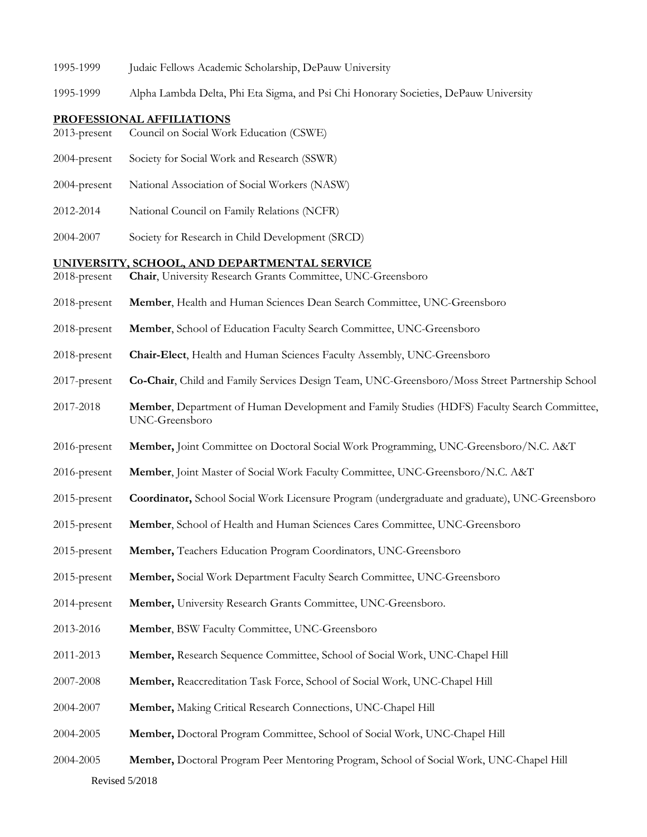- 1995-1999 Judaic Fellows Academic Scholarship, DePauw University
- 1995-1999 Alpha Lambda Delta, Phi Eta Sigma, and Psi Chi Honorary Societies, DePauw University

#### **PROFESSIONAL AFFILIATIONS**

- 2013-present Council on Social Work Education (CSWE)
- 2004-present Society for Social Work and Research (SSWR)
- 2004-present National Association of Social Workers (NASW)
- 2012-2014 National Council on Family Relations (NCFR)
- 2004-2007 Society for Research in Child Development (SRCD)

#### **UNIVERSITY, SCHOOL, AND DEPARTMENTAL SERVICE**

- 2018-present **Chair**, University Research Grants Committee, UNC-Greensboro
- 2018-present **Member**, Health and Human Sciences Dean Search Committee, UNC-Greensboro
- 2018-present **Member**, School of Education Faculty Search Committee, UNC-Greensboro
- 2018-present **Chair-Elect**, Health and Human Sciences Faculty Assembly, UNC-Greensboro
- 2017-present **Co-Chair**, Child and Family Services Design Team, UNC-Greensboro/Moss Street Partnership School
- 2017-2018 **Member**, Department of Human Development and Family Studies (HDFS) Faculty Search Committee, UNC-Greensboro
- 2016-present **Member,** Joint Committee on Doctoral Social Work Programming, UNC-Greensboro/N.C. A&T
- 2016-present **Member**, Joint Master of Social Work Faculty Committee, UNC-Greensboro/N.C. A&T
- 2015-present **Coordinator,** School Social Work Licensure Program (undergraduate and graduate), UNC-Greensboro
- 2015-present **Member**, School of Health and Human Sciences Cares Committee, UNC-Greensboro
- 2015-present **Member,** Teachers Education Program Coordinators, UNC-Greensboro
- 2015-present **Member,** Social Work Department Faculty Search Committee, UNC-Greensboro
- 2014-present **Member,** University Research Grants Committee, UNC-Greensboro.
- 2013-2016 **Member**, BSW Faculty Committee, UNC-Greensboro
- 2011-2013 **Member,** Research Sequence Committee, School of Social Work, UNC-Chapel Hill
- 2007-2008 **Member,** Reaccreditation Task Force, School of Social Work, UNC-Chapel Hill
- 2004-2007 **Member,** Making Critical Research Connections, UNC-Chapel Hill
- 2004-2005 **Member,** Doctoral Program Committee, School of Social Work, UNC-Chapel Hill
- Revised 5/2018 2004-2005 **Member,** Doctoral Program Peer Mentoring Program, School of Social Work, UNC-Chapel Hill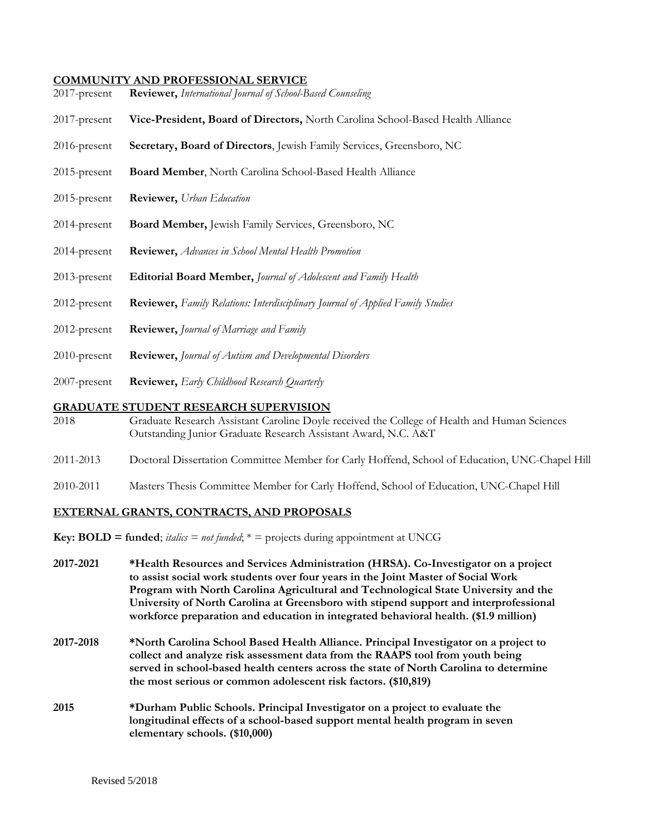#### **COMMUNITY AND PROFESSIONAL SERVICE**

- 2017-present **Reviewer,** *International Journal of School-Based Counseling*
- 2017-present **Vice-President, Board of Directors,** North Carolina School-Based Health Alliance
- 2016-present **Secretary, Board of Directors**, Jewish Family Services, Greensboro, NC
- 2015-present **Board Member**, North Carolina School-Based Health Alliance
- 2015-present **Reviewer,** *Urban Education*
- 2014-present **Board Member,** Jewish Family Services, Greensboro, NC
- 2014-present **Reviewer,** *Advances in School Mental Health Promotion*
- 2013-present **Editorial Board Member,** *Journal of Adolescent and Family Health*
- 2012-present **Reviewer,** *Family Relations: Interdisciplinary Journal of Applied Family Studies*
- 2012-present **Reviewer,** *Journal of Marriage and Family*
- 2010-present **Reviewer,** *Journal of Autism and Developmental Disorders*
- 2007-present **Reviewer,** *Early Childhood Research Quarterly*

#### **GRADUATE STUDENT RESEARCH SUPERVISION**

- 2018 Graduate Research Assistant Caroline Doyle received the College of Health and Human Sciences Outstanding Junior Graduate Research Assistant Award, N.C. A&T
- 2011-2013 Doctoral Dissertation Committee Member for Carly Hoffend, School of Education, UNC-Chapel Hill
- 2010-2011 Masters Thesis Committee Member for Carly Hoffend, School of Education, UNC-Chapel Hill

#### **EXTERNAL GRANTS, CONTRACTS, AND PROPOSALS**

- **Key: BOLD = funded**;  $\text{tails} = \text{not } \text{fanded}$ ;  $* = \text{projects during appointment at UNCG}$
- **2017-2021 \*Health Resources and Services Administration (HRSA). Co-Investigator on a project to assist social work students over four years in the Joint Master of Social Work Program with North Carolina Agricultural and Technological State University and the University of North Carolina at Greensboro with stipend support and interprofessional workforce preparation and education in integrated behavioral health. (\$1.9 million)**
- **2017-2018 \*North Carolina School Based Health Alliance. Principal Investigator on a project to collect and analyze risk assessment data from the RAAPS tool from youth being served in school-based health centers across the state of North Carolina to determine the most serious or common adolescent risk factors. (\$10,819)**
- **2015 \*Durham Public Schools. Principal Investigator on a project to evaluate the longitudinal effects of a school-based support mental health program in seven elementary schools. (\$10,000)**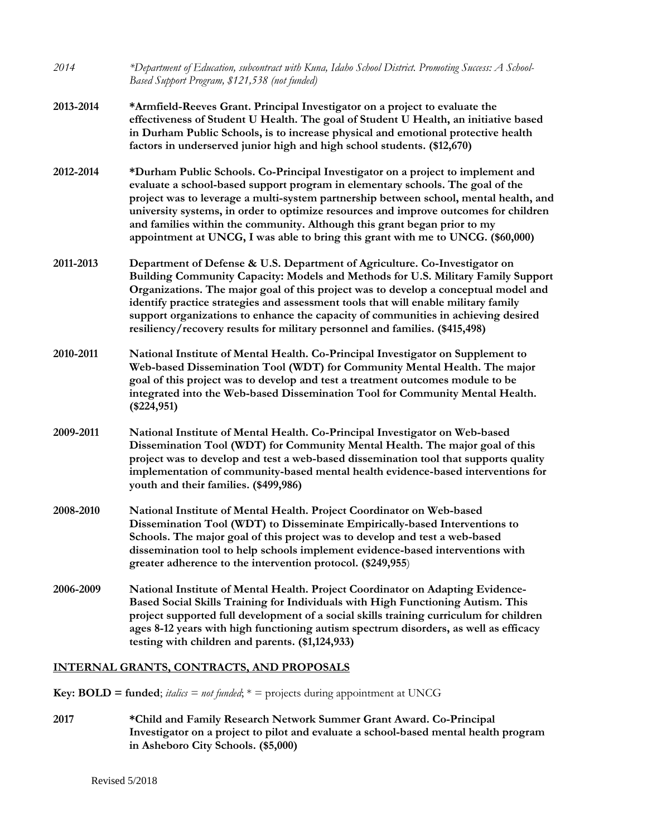| 2014      | *Department of Education, subcontract with Kuna, Idaho School District. Promoting Success: A School-<br>Based Support Program, \$121,538 (not funded)                                                                                                                                                                                                                                                                                                                                                             |
|-----------|-------------------------------------------------------------------------------------------------------------------------------------------------------------------------------------------------------------------------------------------------------------------------------------------------------------------------------------------------------------------------------------------------------------------------------------------------------------------------------------------------------------------|
| 2013-2014 | *Armfield-Reeves Grant. Principal Investigator on a project to evaluate the<br>effectiveness of Student U Health. The goal of Student U Health, an initiative based<br>in Durham Public Schools, is to increase physical and emotional protective health<br>factors in underserved junior high and high school students. (\$12,670)                                                                                                                                                                               |
| 2012-2014 | *Durham Public Schools. Co-Principal Investigator on a project to implement and<br>evaluate a school-based support program in elementary schools. The goal of the<br>project was to leverage a multi-system partnership between school, mental health, and<br>university systems, in order to optimize resources and improve outcomes for children<br>and families within the community. Although this grant began prior to my<br>appointment at UNCG, I was able to bring this grant with me to UNCG. (\$60,000) |
| 2011-2013 | Department of Defense & U.S. Department of Agriculture. Co-Investigator on<br>Building Community Capacity: Models and Methods for U.S. Military Family Support<br>Organizations. The major goal of this project was to develop a conceptual model and<br>identify practice strategies and assessment tools that will enable military family<br>support organizations to enhance the capacity of communities in achieving desired<br>resiliency/recovery results for military personnel and families. (\$415,498)  |
| 2010-2011 | National Institute of Mental Health. Co-Principal Investigator on Supplement to<br>Web-based Dissemination Tool (WDT) for Community Mental Health. The major<br>goal of this project was to develop and test a treatment outcomes module to be<br>integrated into the Web-based Dissemination Tool for Community Mental Health.<br>$(\$224,951)$                                                                                                                                                                  |
| 2009-2011 | National Institute of Mental Health. Co-Principal Investigator on Web-based<br>Dissemination Tool (WDT) for Community Mental Health. The major goal of this<br>project was to develop and test a web-based dissemination tool that supports quality<br>implementation of community-based mental health evidence-based interventions for<br>youth and their families. (\$499,986)                                                                                                                                  |
| 2008-2010 | National Institute of Mental Health. Project Coordinator on Web-based<br>Dissemination Tool (WDT) to Disseminate Empirically-based Interventions to<br>Schools. The major goal of this project was to develop and test a web-based<br>dissemination tool to help schools implement evidence-based interventions with<br>greater adherence to the intervention protocol. (\$249,955)                                                                                                                               |
| 2006-2009 | National Institute of Mental Health. Project Coordinator on Adapting Evidence-<br>Based Social Skills Training for Individuals with High Functioning Autism. This<br>project supported full development of a social skills training curriculum for children<br>ages 8-12 years with high functioning autism spectrum disorders, as well as efficacy<br>testing with children and parents. (\$1,124,933)                                                                                                           |
|           |                                                                                                                                                                                                                                                                                                                                                                                                                                                                                                                   |

# **INTERNAL GRANTS, CONTRACTS, AND PROPOSALS**

**Key: BOLD = funded**; *italics = not funded*;  $* =$  projects during appointment at UNCG

**2017 \*Child and Family Research Network Summer Grant Award. Co-Principal Investigator on a project to pilot and evaluate a school-based mental health program in Asheboro City Schools. (\$5,000)**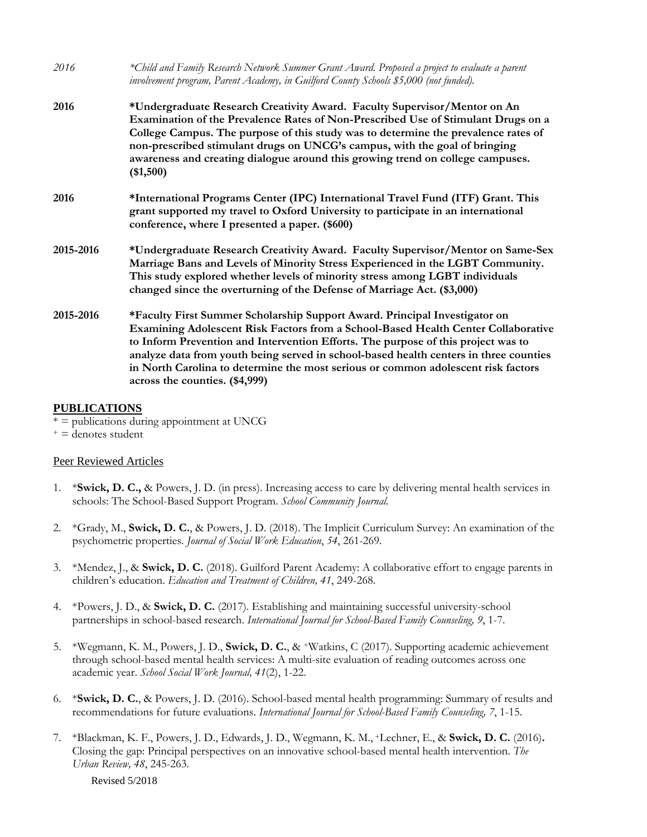| 2016      | *Child and Family Research Network Summer Grant Award. Proposed a project to evaluate a parent<br>involvement program, Parent Academy, in Guilford County Schools \$5,000 (not funded).                                                                                                                                                                                                                                                                              |
|-----------|----------------------------------------------------------------------------------------------------------------------------------------------------------------------------------------------------------------------------------------------------------------------------------------------------------------------------------------------------------------------------------------------------------------------------------------------------------------------|
| 2016      | *Undergraduate Research Creativity Award. Faculty Supervisor/Mentor on An<br>Examination of the Prevalence Rates of Non-Prescribed Use of Stimulant Drugs on a<br>College Campus. The purpose of this study was to determine the prevalence rates of<br>non-prescribed stimulant drugs on UNCG's campus, with the goal of bringing<br>awareness and creating dialogue around this growing trend on college campuses.<br>(\$1,500)                                    |
| 2016      | *International Programs Center (IPC) International Travel Fund (ITF) Grant. This<br>grant supported my travel to Oxford University to participate in an international<br>conference, where I presented a paper. (\$600)                                                                                                                                                                                                                                              |
| 2015-2016 | *Undergraduate Research Creativity Award. Faculty Supervisor/Mentor on Same-Sex<br>Marriage Bans and Levels of Minority Stress Experienced in the LGBT Community.<br>This study explored whether levels of minority stress among LGBT individuals<br>changed since the overturning of the Defense of Marriage Act. (\$3,000)                                                                                                                                         |
| 2015-2016 | *Faculty First Summer Scholarship Support Award. Principal Investigator on<br>Examining Adolescent Risk Factors from a School-Based Health Center Collaborative<br>to Inform Prevention and Intervention Efforts. The purpose of this project was to<br>analyze data from youth being served in school-based health centers in three counties<br>in North Carolina to determine the most serious or common adolescent risk factors<br>across the counties. (\$4,999) |

#### **PUBLICATIONS**

- \* = publications during appointment at UNCG
- $t =$  denotes student

#### Peer Reviewed Articles

- 1. \***Swick, D. C.,** & Powers, J. D. (in press). Increasing access to care by delivering mental health services in schools: The School-Based Support Program. *School Community Journal.*
- 2. \*Grady, M., **Swick, D. C.**, & Powers, J. D. (2018). The Implicit Curriculum Survey: An examination of the psychometric properties. *Journal of Social Work Education*, *54*, 261-269.
- 3. \*Mendez, J., & **Swick, D. C.** (2018). Guilford Parent Academy: A collaborative effort to engage parents in children's education. *Education and Treatment of Children, 41*, 249-268.
- 4. \*Powers, J. D., & **Swick, D. C.** (2017). Establishing and maintaining successful university-school partnerships in school-based research. *International Journal for School-Based Family Counseling, 9*, 1-7.
- 5. \*Wegmann, K. M., Powers, J. D., **Swick, D. C.**, & +Watkins, C (2017). Supporting academic achievement through school-based mental health services: A multi-site evaluation of reading outcomes across one academic year. *School Social Work Journal, 41*(2), 1-22.
- 6. \***Swick, D. C.**, & Powers, J. D. (2016). School-based mental health programming: Summary of results and recommendations for future evaluations. *International Journal for School-Based Family Counseling, 7*, 1-15.
- 7. \*Blackman, K. F., Powers, J. D., Edwards, J. D., Wegmann, K. M., +Lechner, E., & **Swick, D. C.** (2016)**.** Closing the gap: Principal perspectives on an innovative school-based mental health intervention. *The Urban Review, 48*, 245-263*.*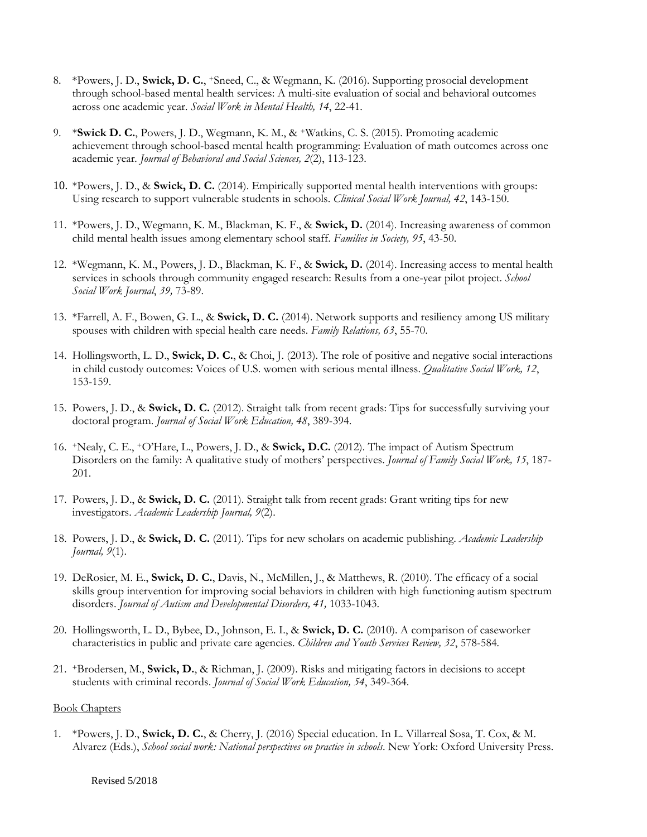- 8. \*Powers, J. D., **Swick, D. C.**, +Sneed, C., & Wegmann, K. (2016). Supporting prosocial development through school-based mental health services: A multi-site evaluation of social and behavioral outcomes across one academic year*. Social Work in Mental Health, 14*, 22-41.
- 9. \***Swick D. C.**, Powers, J. D., Wegmann, K. M., & +Watkins, C. S. (2015). Promoting academic achievement through school-based mental health programming: Evaluation of math outcomes across one academic year*. Journal of Behavioral and Social Sciences, 2*(2), 113-123.
- 10. \*Powers, J. D., & **Swick, D. C.** (2014). Empirically supported mental health interventions with groups: Using research to support vulnerable students in schools. *Clinical Social Work Journal, 42*, 143-150.
- 11. \*Powers, J. D., Wegmann, K. M., Blackman, K. F., & **Swick, D.** (2014)*.* Increasing awareness of common child mental health issues among elementary school staff. *Families in Society, 95*, 43-50.
- 12. \*Wegmann, K. M., Powers, J. D., Blackman, K. F., & **Swick, D.** (2014). Increasing access to mental health services in schools through community engaged research: Results from a one-year pilot project. *School Social Work Journal*, *39,* 73-89.
- 13. \*Farrell, A. F., Bowen, G. L., & **Swick, D. C.** (2014). Network supports and resiliency among US military spouses with children with special health care needs. *Family Relations, 63*, 55-70.
- 14. Hollingsworth, L. D., **Swick, D. C.**, & Choi, J. (2013). The role of positive and negative social interactions in child custody outcomes: Voices of U.S. women with serious mental illness. *Qualitative Social Work, 12*, 153-159.
- 15. Powers, J. D., & **Swick, D. C.** (2012). Straight talk from recent grads: Tips for successfully surviving your doctoral program. *Journal of Social Work Education, 48*, 389-394.
- 16. +Nealy, C. E., +O'Hare, L., Powers, J. D., & **Swick, D.C.** (2012). The impact of Autism Spectrum Disorders on the family: A qualitative study of mothers' perspectives. *Journal of Family Social Work, 15*, 187- 201.
- 17. Powers, J. D., & **Swick, D. C.** (2011). Straight talk from recent grads: Grant writing tips for new investigators. *Academic Leadership Journal, 9*(2).
- 18. Powers, J. D., & **Swick, D. C.** (2011). Tips for new scholars on academic publishing. *Academic Leadership Journal, 9*(1).
- 19. DeRosier, M. E., **Swick, D. C.**, Davis, N., McMillen, J., & Matthews, R. (2010). The efficacy of a social skills group intervention for improving social behaviors in children with high functioning autism spectrum disorders. *Journal of Autism and Developmental Disorders, 41,* 1033-1043.
- 20. Hollingsworth, L. D., Bybee, D., Johnson, E. I., & **Swick, D. C.** (2010). A comparison of caseworker characteristics in public and private care agencies. *Children and Youth Services Review, 32*, 578-584*.*
- 21. **<sup>+</sup>**Brodersen, M., **Swick, D.**, & Richman, J. (2009). Risks and mitigating factors in decisions to accept students with criminal records. *Journal of Social Work Education, 54*, 349-364.

#### Book Chapters

1. \*Powers, J. D., **Swick, D. C.**, & Cherry, J. (2016) Special education. In L. Villarreal Sosa, T. Cox, & M. Alvarez (Eds.), *School social work: National perspectives on practice in schools*. New York: Oxford University Press.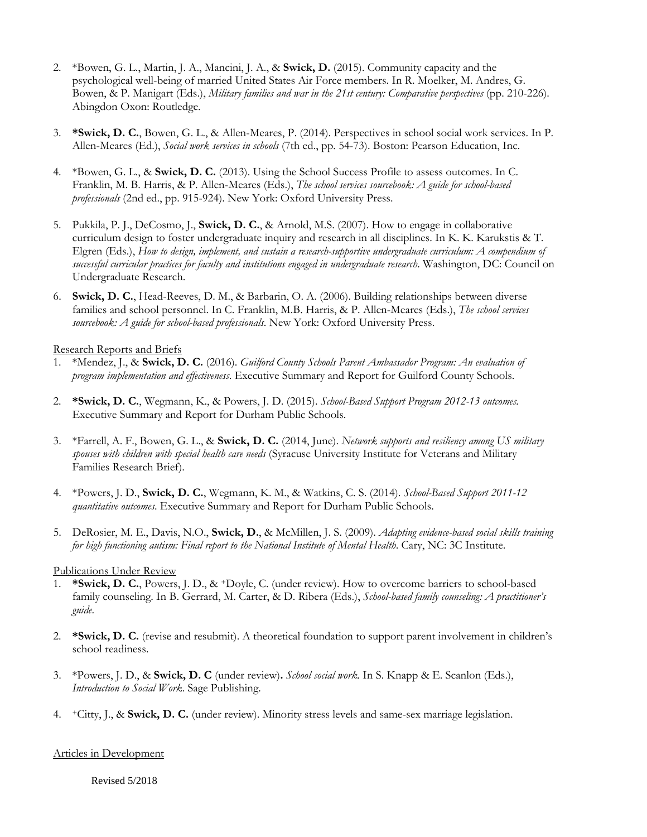- 2. \*Bowen, G. L., Martin, J. A., Mancini, J. A., & **Swick, D.** (2015). Community capacity and the psychological well-being of married United States Air Force members. In R. Moelker, M. Andres, G. Bowen, & P. Manigart (Eds.), *Military families and war in the 21st century: Comparative perspectives* (pp. 210-226). Abingdon Oxon: Routledge.
- 3. **\*Swick, D. C.**, Bowen, G. L., & Allen-Meares, P. (2014). Perspectives in school social work services. In P. Allen-Meares (Ed.), *Social work services in schools* (7th ed., pp. 54-73). Boston: Pearson Education, Inc.
- 4. \*Bowen, G. L., & **Swick, D. C.** (2013). Using the School Success Profile to assess outcomes. In C. Franklin, M. B. Harris, & P. Allen-Meares (Eds.), *The school services sourcebook: A guide for school-based professionals* (2nd ed., pp. 915-924). New York: Oxford University Press.
- 5. Pukkila, P. J., DeCosmo, J., **Swick, D. C.**, & Arnold, M.S. (2007). How to engage in collaborative curriculum design to foster undergraduate inquiry and research in all disciplines. In K. K. Karukstis & T. Elgren (Eds.), *How to design, implement, and sustain a research-supportive undergraduate curriculum: A compendium of successful curricular practices for faculty and institutions engaged in undergraduate research*. Washington, DC: Council on Undergraduate Research.
- 6. **Swick, D. C.**, Head-Reeves, D. M., & Barbarin, O. A. (2006). Building relationships between diverse families and school personnel. In C. Franklin, M.B. Harris, & P. Allen-Meares (Eds.), *The school services sourcebook: A guide for school-based professionals*. New York: Oxford University Press.

#### Research Reports and Briefs

- 1. \*Mendez, J., & **Swick, D. C.** (2016). *Guilford County Schools Parent Ambassador Program: An evaluation of program implementation and effectiveness*. Executive Summary and Report for Guilford County Schools.
- 2. **\*Swick, D. C.**, Wegmann, K., & Powers, J. D. (2015). *School-Based Support Program 2012-13 outcomes.* Executive Summary and Report for Durham Public Schools.
- 3. \*Farrell, A. F., Bowen, G. L., & **Swick, D. C.** (2014, June). *Network supports and resiliency among US military spouses with children with special health care needs* (Syracuse University Institute for Veterans and Military Families Research Brief).
- 4. \*Powers, J. D., **Swick, D. C.**, Wegmann, K. M., & Watkins, C. S. (2014). *School-Based Support 2011-12 quantitative outcomes*. Executive Summary and Report for Durham Public Schools.
- 5. DeRosier, M. E., Davis, N.O., **Swick, D.**, & McMillen, J. S. (2009). *Adapting evidence-based social skills training for high functioning autism: Final report to the National Institute of Mental Health. Cary, NC: 3C Institute.*

#### Publications Under Review

- 1. **\*Swick, D. C.**, Powers, J. D., & +Doyle, C. (under review). How to overcome barriers to school-based family counseling. In B. Gerrard, M. Carter, & D. Ribera (Eds.), *School-based family counseling: A practitioner's guide*.
- 2. **\*Swick, D. C.** (revise and resubmit). A theoretical foundation to support parent involvement in children's school readiness.
- 3. \*Powers, J. D., & **Swick, D. C** (under review)**.** *School social work.* In S. Knapp & E. Scanlon (Eds.), *Introduction to Social Work*. Sage Publishing.
- 4. +Citty, J., & **Swick, D. C.** (under review). Minority stress levels and same-sex marriage legislation.

#### Articles in Development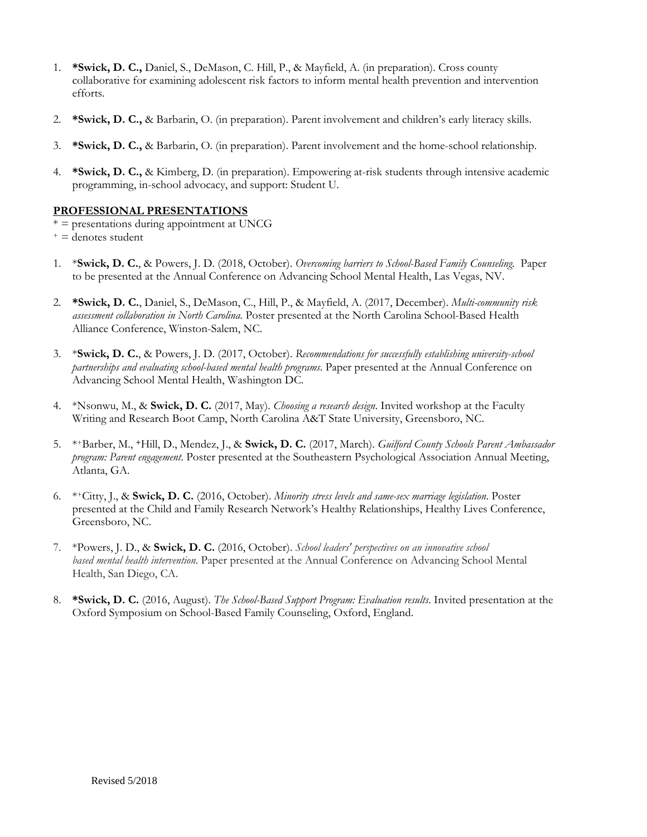- 1. **\*Swick, D. C.,** Daniel, S., DeMason, C. Hill, P., & Mayfield, A. (in preparation). Cross county collaborative for examining adolescent risk factors to inform mental health prevention and intervention efforts*.*
- 2. **\*Swick, D. C.,** & Barbarin, O. (in preparation). Parent involvement and children's early literacy skills.
- 3. **\*Swick, D. C.,** & Barbarin, O. (in preparation). Parent involvement and the home-school relationship.
- 4. **\*Swick, D. C.,** & Kimberg, D. (in preparation). Empowering at-risk students through intensive academic programming, in-school advocacy, and support: Student U.

## **PROFESSIONAL PRESENTATIONS**

- $* =$  presentations during appointment at UNCG
- $+ =$  denotes student
- 1. \***Swick, D. C.**, & Powers, J. D. (2018, October). *Overcoming barriers to School-Based Family Counseling.* Paper to be presented at the Annual Conference on Advancing School Mental Health, Las Vegas, NV.
- 2. **\*Swick, D. C.**, Daniel, S., DeMason, C., Hill, P., & Mayfield, A. (2017, December). *Multi-community risk assessment collaboration in North Carolina*. Poster presented at the North Carolina School-Based Health Alliance Conference, Winston-Salem, NC.
- 3. \***Swick, D. C.**, & Powers, J. D. (2017, October). *Recommendations for successfully establishing university-school partnerships and evaluating school-based mental health programs*. Paper presented at the Annual Conference on Advancing School Mental Health, Washington DC.
- 4. \*Nsonwu, M., & **Swick, D. C.** (2017, May). *Choosing a research design*. Invited workshop at the Faculty Writing and Research Boot Camp, North Carolina A&T State University, Greensboro, NC.
- 5. \*+Barber, M., **+**Hill, D., Mendez, J., & **Swick, D. C.** (2017, March). *Guilford County Schools Parent Ambassador program: Parent engagement*. Poster presented at the Southeastern Psychological Association Annual Meeting, Atlanta, GA.
- 6. \*+Citty, J., & **Swick, D. C.** (2016, October). *Minority stress levels and same-sex marriage legislation*. Poster presented at the Child and Family Research Network's Healthy Relationships, Healthy Lives Conference, Greensboro, NC.
- 7. \*Powers, J. D., & **Swick, D. C.** (2016, October). *School leaders' perspectives on an innovative school based mental health intervention*. Paper presented at the Annual Conference on Advancing School Mental Health, San Diego, CA.
- 8. **\*Swick, D. C.** (2016, August). *The School-Based Support Program: Evaluation results*. Invited presentation at the Oxford Symposium on School-Based Family Counseling, Oxford, England.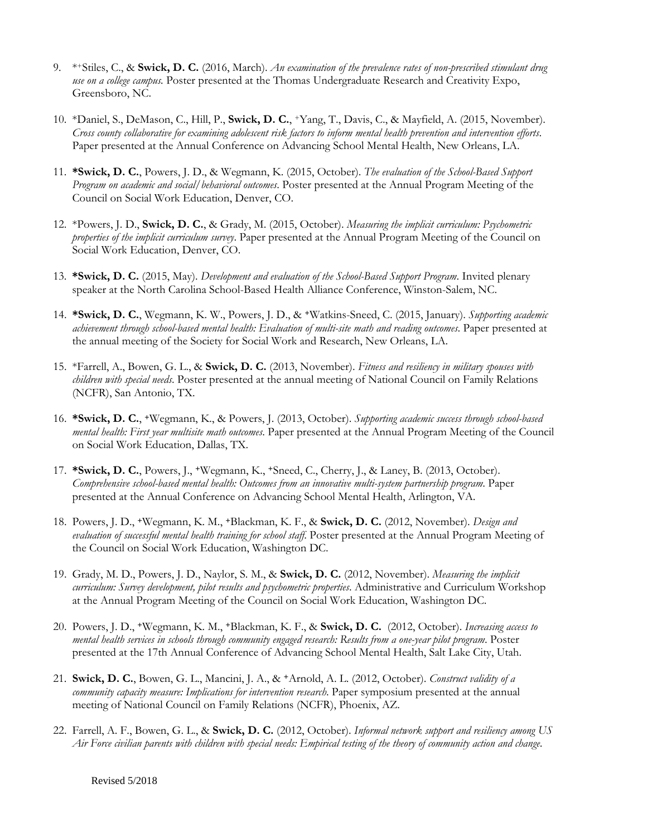- 9. \*+Stiles, C., & **Swick, D. C.** (2016, March). *An examination of the prevalence rates of non-prescribed stimulant drug use on a college campus.* Poster presented at the Thomas Undergraduate Research and Creativity Expo, Greensboro, NC.
- 10. \*Daniel, S., DeMason, C., Hill, P., **Swick, D. C.**, +Yang, T., Davis, C., & Mayfield, A. (2015, November). *Cross county collaborative for examining adolescent risk factors to inform mental health prevention and intervention efforts*. Paper presented at the Annual Conference on Advancing School Mental Health, New Orleans, LA.
- 11. **\*Swick, D. C.**, Powers, J. D., & Wegmann, K. (2015, October). *The evaluation of the School-Based Support Program on academic and social/behavioral outcomes*. Poster presented at the Annual Program Meeting of the Council on Social Work Education, Denver, CO.
- 12. \*Powers, J. D., **Swick, D. C.**, & Grady, M. (2015, October). *Measuring the implicit curriculum: Psychometric properties of the implicit curriculum survey*. Paper presented at the Annual Program Meeting of the Council on Social Work Education, Denver, CO.
- 13. **\*Swick, D. C.** (2015, May). *Development and evaluation of the School-Based Support Program*. Invited plenary speaker at the North Carolina School-Based Health Alliance Conference, Winston-Salem, NC.
- 14. **\*Swick, D. C.**, Wegmann, K. W., Powers, J. D., & **+**Watkins-Sneed, C. (2015, January). *Supporting academic achievement through school-based mental health: Evaluation of multi-site math and reading outcomes*. Paper presented at the annual meeting of the Society for Social Work and Research, New Orleans, LA.
- 15. \*Farrell, A., Bowen, G. L., & **Swick, D. C.** (2013, November). *Fitness and resiliency in military spouses with children with special needs*. Poster presented at the annual meeting of National Council on Family Relations (NCFR), San Antonio, TX.
- 16. **\*Swick, D. C.**, **+**Wegmann, K., & Powers, J. (2013, October). *Supporting academic success through school-based mental health: First year multisite math outcomes*. Paper presented at the Annual Program Meeting of the Council on Social Work Education, Dallas, TX.
- 17. **\*Swick, D. C.**, Powers, J., **+**Wegmann, K., **+**Sneed, C., Cherry, J., & Laney, B. (2013, October). *Comprehensive school-based mental health: Outcomes from an innovative multi-system partnership program*. Paper presented at the Annual Conference on Advancing School Mental Health, Arlington, VA.
- 18. Powers, J. D., **+**Wegmann, K. M., **+**Blackman, K. F., & **Swick, D. C.** (2012, November). *Design and evaluation of successful mental health training for school staff*. Poster presented at the Annual Program Meeting of the Council on Social Work Education, Washington DC.
- 19. Grady, M. D., Powers, J. D., Naylor, S. M., & **Swick, D. C.** (2012, November). *Measuring the implicit curriculum: Survey development, pilot results and psychometric properties*. Administrative and Curriculum Workshop at the Annual Program Meeting of the Council on Social Work Education, Washington DC.
- 20. Powers, J. D., **+**Wegmann, K. M., **+**Blackman, K. F., & **Swick, D. C.** (2012, October). *Increasing access to mental health services in schools through community engaged research: Results from a one-year pilot program*. Poster presented at the 17th Annual Conference of Advancing School Mental Health, Salt Lake City, Utah.
- 21. **Swick, D. C.**, Bowen, G. L., Mancini, J. A., & **+**Arnold, A. L. (2012, October). *Construct validity of a community capacity measure: Implications for intervention research*. Paper symposium presented at the annual meeting of National Council on Family Relations (NCFR), Phoenix, AZ.
- 22. Farrell, A. F., Bowen, G. L., & **Swick, D. C.** (2012, October). *Informal network support and resiliency among US Air Force civilian parents with children with special needs: Empirical testing of the theory of community action and change*.